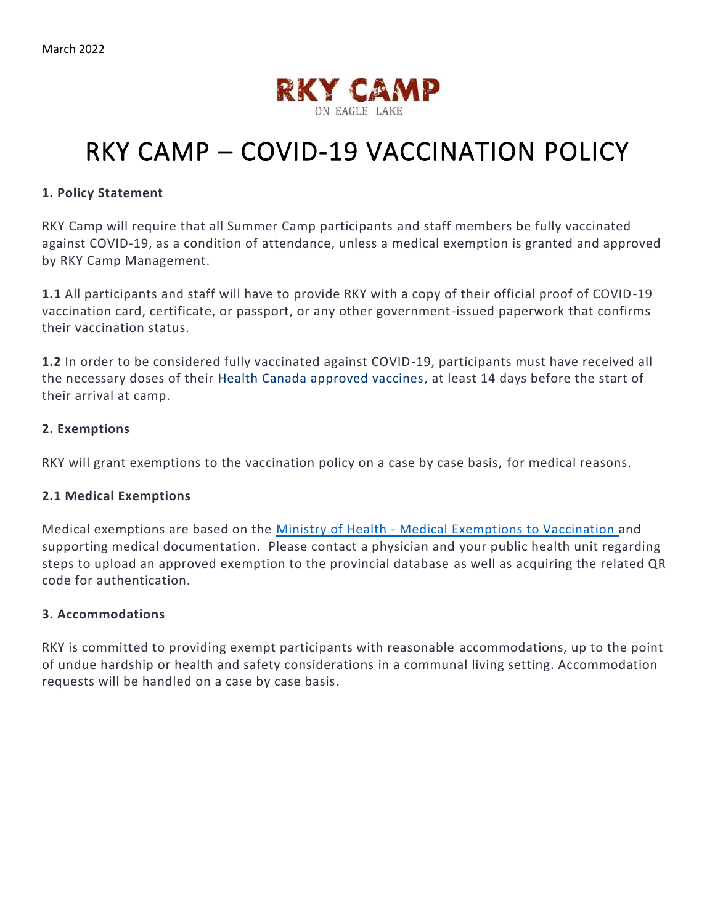

# RKY CAMP – COVID-19 VACCINATION POLICY

### **1. Policy Statement**

RKY Camp will require that all Summer Camp participants and staff members be fully vaccinated against COVID-19, as a condition of attendance, unless a medical exemption is granted and approved by RKY Camp Management.

**1.1** All participants and staff will have to provide RKY with a copy of their official proof of COVID-19 vaccination card, certificate, or passport, or any other government-issued paperwork that confirms their vaccination status.

**1.2** In order to be considered fully vaccinated against COVID-19, participants must have received all the necessary doses of their [Health Canada approved vaccines,](https://www.canada.ca/en/health-canada/services/drugs-health-products/covid19-industry/drugs-vaccines-treatments/vaccines.html) at least 14 days before the start of their arrival at camp.

### **2. Exemptions**

RKY will grant exemptions to the vaccination policy on a case by case basis, for medical reasons.

#### **2.1 Medical Exemptions**

Medical exemptions are based on the Ministry of Health - [Medical Exemptions](https://health.gov.on.ca/en/pro/programs/publichealth/coronavirus/docs/vaccine/medical_exemptions_to_vaccination.pdf) to Vaccination and supporting medical documentation. Please contact a physician and your public health unit regarding steps to upload an approved exemption to the provincial database as well as acquiring the related QR code for authentication.

#### **3. Accommodations**

RKY is committed to providing exempt participants with reasonable accommodations, up to the point of undue hardship or health and safety considerations in a communal living setting. Accommodation requests will be handled on a case by case basis.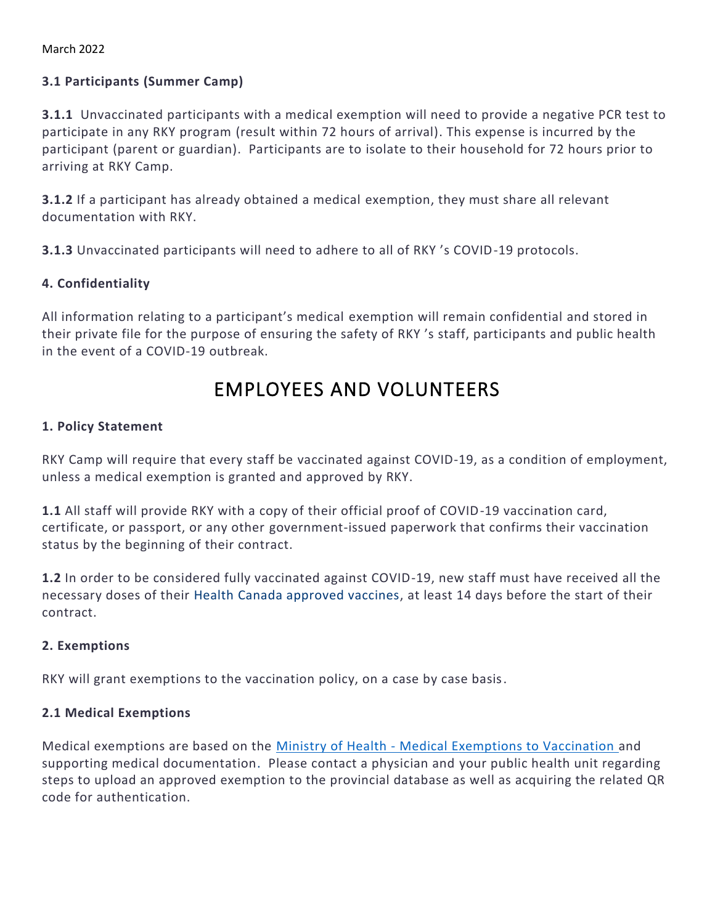March 2022

# **3.1 Participants (Summer Camp)**

**3.1.1** Unvaccinated participants with a medical exemption will need to provide a negative PCR test to participate in any RKY program (result within 72 hours of arrival). This expense is incurred by the participant (parent or guardian). Participants are to isolate to their household for 72 hours prior to arriving at RKY Camp.

**3.1.2** If a participant has already obtained a medical exemption, they must share all relevant documentation with RKY.

**3.1.3** Unvaccinated participants will need to adhere to all of RKY 's COVID-19 protocols.

# **4. Confidentiality**

All information relating to a participant's medical exemption will remain confidential and stored in their private file for the purpose of ensuring the safety of RKY 's staff, participants and public health in the event of a COVID-19 outbreak.

# EMPLOYEES AND VOLUNTEERS

# **1. Policy Statement**

RKY Camp will require that every staff be vaccinated against COVID-19, as a condition of employment, unless a medical exemption is granted and approved by RKY.

**1.1** All staff will provide RKY with a copy of their official proof of COVID-19 vaccination card, certificate, or passport, or any other government-issued paperwork that confirms their vaccination status by the beginning of their contract.

**1.2** In order to be considered fully vaccinated against COVID-19, new staff must have received all the necessary doses of their [Health Canada approved vaccines,](https://www.canada.ca/en/health-canada/services/drugs-health-products/covid19-industry/drugs-vaccines-treatments/vaccines.html) at least 14 days before the start of their contract.

# **2. Exemptions**

RKY will grant exemptions to the vaccination policy, on a case by case basis.

# **2.1 Medical Exemptions**

Medical exemptions are based on the Ministry of Health - [Medical Exemptions to Vaccination a](https://health.gov.on.ca/en/pro/programs/publichealth/coronavirus/docs/vaccine/medical_exemptions_to_vaccination.pdf)nd supporting medical documentation. Please contact a physician and your public health unit regarding steps to upload an approved exemption to the provincial database as well as acquiring the related QR code for authentication.